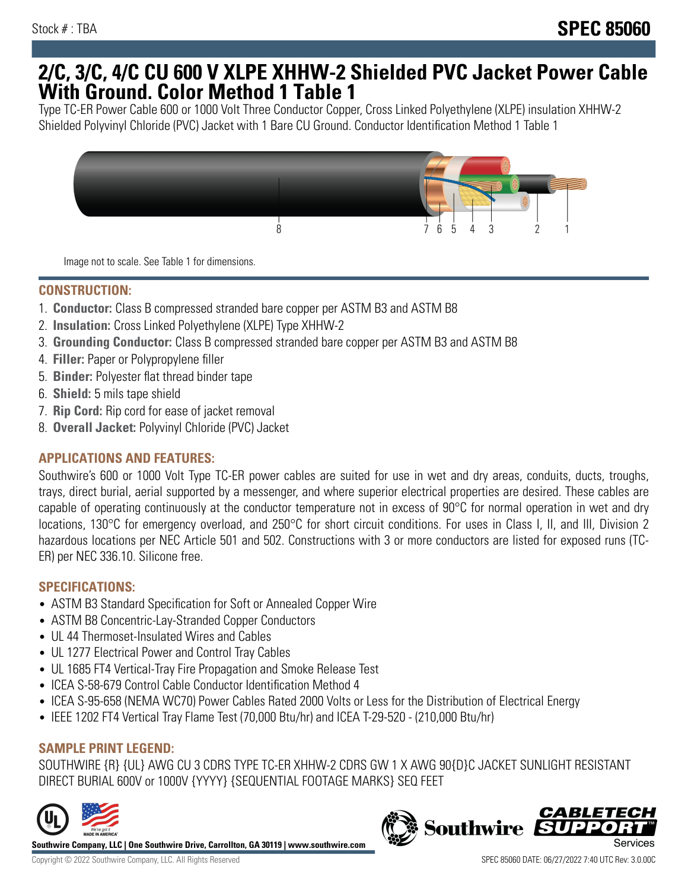## **2/C, 3/C, 4/C CU 600 V XLPE XHHW-2 Shielded PVC Jacket Power Cable With Ground. Color Method 1 Table 1**

Type TC-ER Power Cable 600 or 1000 Volt Three Conductor Copper, Cross Linked Polyethylene (XLPE) insulation XHHW-2 Shielded Polyvinyl Chloride (PVC) Jacket with 1 Bare CU Ground. Conductor Identification Method 1 Table 1



Image not to scale. See Table 1 for dimensions.

#### **CONSTRUCTION:**

- 1. **Conductor:** Class B compressed stranded bare copper per ASTM B3 and ASTM B8
- 2. **Insulation:** Cross Linked Polyethylene (XLPE) Type XHHW-2
- 3. **Grounding Conductor:** Class B compressed stranded bare copper per ASTM B3 and ASTM B8
- 4. **Filler:** Paper or Polypropylene filler
- 5. **Binder:** Polyester flat thread binder tape
- 6. **Shield:** 5 mils tape shield
- 7. **Rip Cord:** Rip cord for ease of jacket removal
- 8. **Overall Jacket:** Polyvinyl Chloride (PVC) Jacket

## **APPLICATIONS AND FEATURES:**

Southwire's 600 or 1000 Volt Type TC-ER power cables are suited for use in wet and dry areas, conduits, ducts, troughs, trays, direct burial, aerial supported by a messenger, and where superior electrical properties are desired. These cables are capable of operating continuously at the conductor temperature not in excess of 90°C for normal operation in wet and dry locations, 130°C for emergency overload, and 250°C for short circuit conditions. For uses in Class I, II, and III, Division 2 hazardous locations per NEC Article 501 and 502. Constructions with 3 or more conductors are listed for exposed runs (TC-ER) per NEC 336.10. Silicone free.

#### **SPECIFICATIONS:**

- ASTM B3 Standard Specification for Soft or Annealed Copper Wire
- ASTM B8 Concentric-Lay-Stranded Copper Conductors
- UL 44 Thermoset-Insulated Wires and Cables
- UL 1277 Electrical Power and Control Tray Cables
- UL 1685 FT4 Vertical-Tray Fire Propagation and Smoke Release Test
- ICEA S-58-679 Control Cable Conductor Identification Method 4
- ICEA S-95-658 (NEMA WC70) Power Cables Rated 2000 Volts or Less for the Distribution of Electrical Energy
- IEEE 1202 FT4 Vertical Tray Flame Test (70,000 Btu/hr) and ICEA T-29-520 (210,000 Btu/hr)

## **SAMPLE PRINT LEGEND:**

SOUTHWIRE {R} {UL} AWG CU 3 CDRS TYPE TC-ER XHHW-2 CDRS GW 1 X AWG 90{D}C JACKET SUNLIGHT RESISTANT DIRECT BURIAL 600V or 1000V {YYYY} {SEQUENTIAL FOOTAGE MARKS} SEQ FEET



**Southwire Company, LLC | One Southwire Drive, Carrollton, GA 30119 | www.southwire.com**